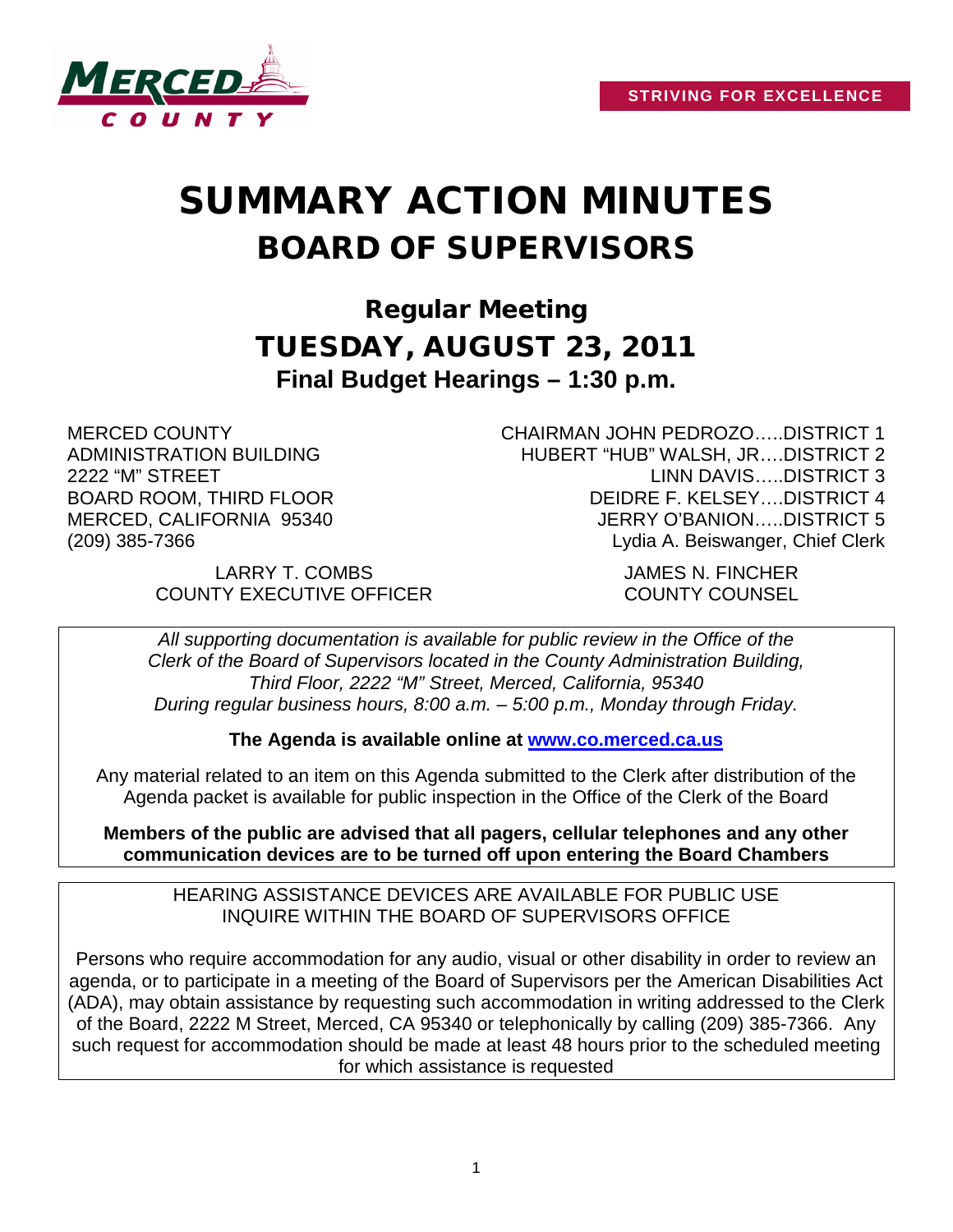

# SUMMARY ACTION MINUTES BOARD OF SUPERVISORS

Regular Meeting TUESDAY, AUGUST 23, 2011 **Final Budget Hearings – 1:30 p.m.**

MERCED COUNTY ADMINISTRATION BUILDING 2222 "M" STREET BOARD ROOM, THIRD FLOOR MERCED, CALIFORNIA 95340 (209) 385-7366

CHAIRMAN JOHN PEDROZO…..DISTRICT 1 HUBERT "HUB" WALSH, JR….DISTRICT 2 LINN DAVIS…..DISTRICT 3 DEIDRE F. KELSEY….DISTRICT 4 JERRY O'BANION…..DISTRICT 5 Lydia A. Beiswanger, Chief Clerk

LARRY T. COMBS JAMES N. FINCHER COUNTY EXECUTIVE OFFICER COUNTY COUNSEL

*All supporting documentation is available for public review in the Office of the Clerk of the Board of Supervisors located in the County Administration Building, Third Floor, 2222 "M" Street, Merced, California, 95340 During regular business hours, 8:00 a.m. – 5:00 p.m., Monday through Friday.*

**The Agenda is available online at [www.co.merced.ca.us](http://www.co.merced.ca.us/)**

Any material related to an item on this Agenda submitted to the Clerk after distribution of the Agenda packet is available for public inspection in the Office of the Clerk of the Board

**Members of the public are advised that all pagers, cellular telephones and any other communication devices are to be turned off upon entering the Board Chambers**

HEARING ASSISTANCE DEVICES ARE AVAILABLE FOR PUBLIC USE INQUIRE WITHIN THE BOARD OF SUPERVISORS OFFICE

Persons who require accommodation for any audio, visual or other disability in order to review an agenda, or to participate in a meeting of the Board of Supervisors per the American Disabilities Act (ADA), may obtain assistance by requesting such accommodation in writing addressed to the Clerk of the Board, 2222 M Street, Merced, CA 95340 or telephonically by calling (209) 385-7366. Any such request for accommodation should be made at least 48 hours prior to the scheduled meeting for which assistance is requested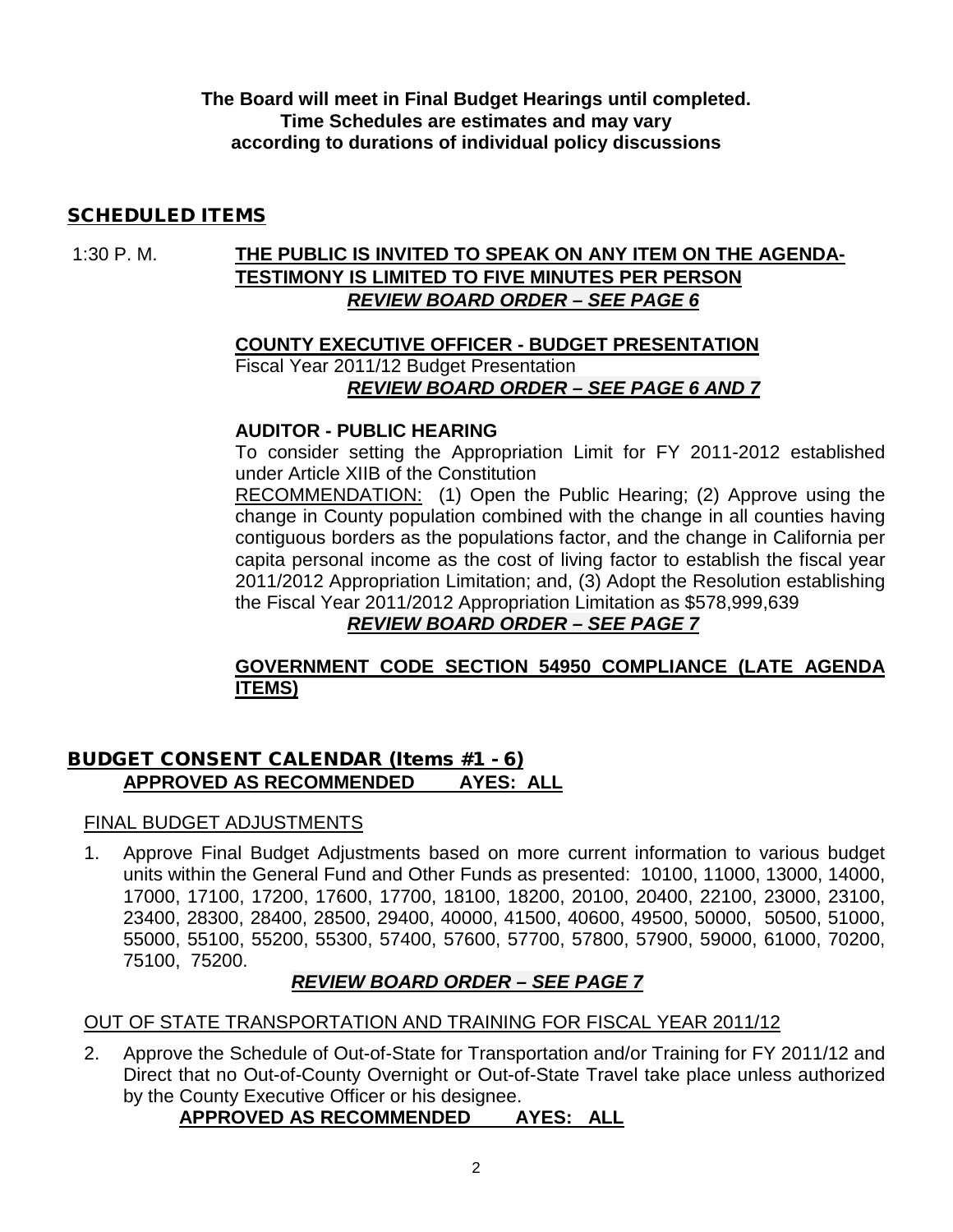**The Board will meet in Final Budget Hearings until completed. Time Schedules are estimates and may vary according to durations of individual policy discussions**

## SCHEDULED ITEMS

# 1:30 P. M. **THE PUBLIC IS INVITED TO SPEAK ON ANY ITEM ON THE AGENDA-TESTIMONY IS LIMITED TO FIVE MINUTES PER PERSON REVIEW BOARD ORDER – SEE PAGE 6**

#### **COUNTY EXECUTIVE OFFICER - BUDGET PRESENTATION**  Fiscal Year 2011/12 Budget Presentation *REVIEW BOARD ORDER – SEE PAGE 6 AND 7*

#### **AUDITOR - PUBLIC HEARING**

To consider setting the Appropriation Limit for FY 2011-2012 established under Article XIIB of the Constitution

RECOMMENDATION: (1) Open the Public Hearing; (2) Approve using the change in County population combined with the change in all counties having contiguous borders as the populations factor, and the change in California per capita personal income as the cost of living factor to establish the fiscal year 2011/2012 Appropriation Limitation; and, (3) Adopt the Resolution establishing the Fiscal Year 2011/2012 Appropriation Limitation as \$578,999,639

# *REVIEW BOARD ORDER – SEE PAGE 7*

## **GOVERNMENT CODE SECTION 54950 COMPLIANCE (LATE AGENDA ITEMS)**

## BUDGET CONSENT CALENDAR (Items #1 - 6) **APPROVED AS RECOMMENDED AYES: ALL**

#### FINAL BUDGET ADJUSTMENTS

1. Approve Final Budget Adjustments based on more current information to various budget units within the General Fund and Other Funds as presented: 10100, 11000, 13000, 14000, 17000, 17100, 17200, 17600, 17700, 18100, 18200, 20100, 20400, 22100, 23000, 23100, 23400, 28300, 28400, 28500, 29400, 40000, 41500, 40600, 49500, 50000, 50500, 51000, 55000, 55100, 55200, 55300, 57400, 57600, 57700, 57800, 57900, 59000, 61000, 70200, 75100, 75200.

# *REVIEW BOARD ORDER – SEE PAGE 7*

#### OUT OF STATE TRANSPORTATION AND TRAINING FOR FISCAL YEAR 2011/12

2. Approve the Schedule of Out-of-State for Transportation and/or Training for FY 2011/12 and Direct that no Out-of-County Overnight or Out-of-State Travel take place unless authorized by the County Executive Officer or his designee.

# **APPROVED AS RECOMMENDED AYES: ALL**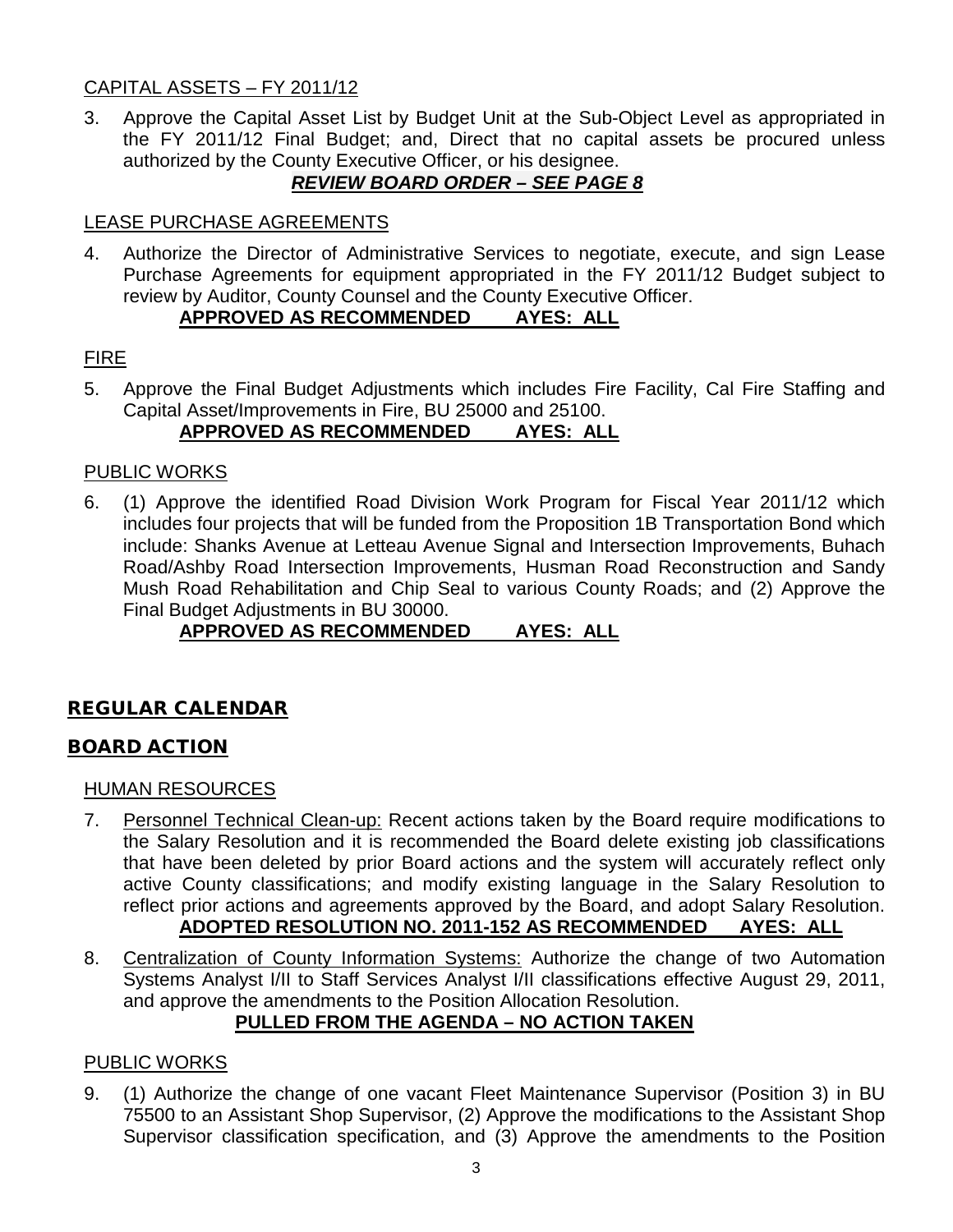# CAPITAL ASSETS – FY 2011/12

3. Approve the Capital Asset List by Budget Unit at the Sub-Object Level as appropriated in the FY 2011/12 Final Budget; and, Direct that no capital assets be procured unless authorized by the County Executive Officer, or his designee.

# *REVIEW BOARD ORDER – SEE PAGE 8*

# LEASE PURCHASE AGREEMENTS

4. Authorize the Director of Administrative Services to negotiate, execute, and sign Lease Purchase Agreements for equipment appropriated in the FY 2011/12 Budget subject to review by Auditor, County Counsel and the County Executive Officer.

# **APPROVED AS RECOMMENDED AYES: ALL**

# FIRE

5. Approve the Final Budget Adjustments which includes Fire Facility, Cal Fire Staffing and Capital Asset/Improvements in Fire, BU 25000 and 25100.

# **APPROVED AS RECOMMENDED AYES: ALL**

## PUBLIC WORKS

6. (1) Approve the identified Road Division Work Program for Fiscal Year 2011/12 which includes four projects that will be funded from the Proposition 1B Transportation Bond which include: Shanks Avenue at Letteau Avenue Signal and Intersection Improvements, Buhach Road/Ashby Road Intersection Improvements, Husman Road Reconstruction and Sandy Mush Road Rehabilitation and Chip Seal to various County Roads; and (2) Approve the Final Budget Adjustments in BU 30000.

# **APPROVED AS RECOMMENDED AYES: ALL**

# REGULAR CALENDAR

# BOARD ACTION

#### HUMAN RESOURCES

- 7. Personnel Technical Clean-up: Recent actions taken by the Board require modifications to the Salary Resolution and it is recommended the Board delete existing job classifications that have been deleted by prior Board actions and the system will accurately reflect only active County classifications; and modify existing language in the Salary Resolution to reflect prior actions and agreements approved by the Board, and adopt Salary Resolution. **ADOPTED RESOLUTION NO. 2011-152 AS RECOMMENDED AYES: ALL**
- 8. Centralization of County Information Systems: Authorize the change of two Automation Systems Analyst I/II to Staff Services Analyst I/II classifications effective August 29, 2011, and approve the amendments to the Position Allocation Resolution.

# **PULLED FROM THE AGENDA – NO ACTION TAKEN**

# PUBLIC WORKS

9. (1) Authorize the change of one vacant Fleet Maintenance Supervisor (Position 3) in BU 75500 to an Assistant Shop Supervisor, (2) Approve the modifications to the Assistant Shop Supervisor classification specification, and (3) Approve the amendments to the Position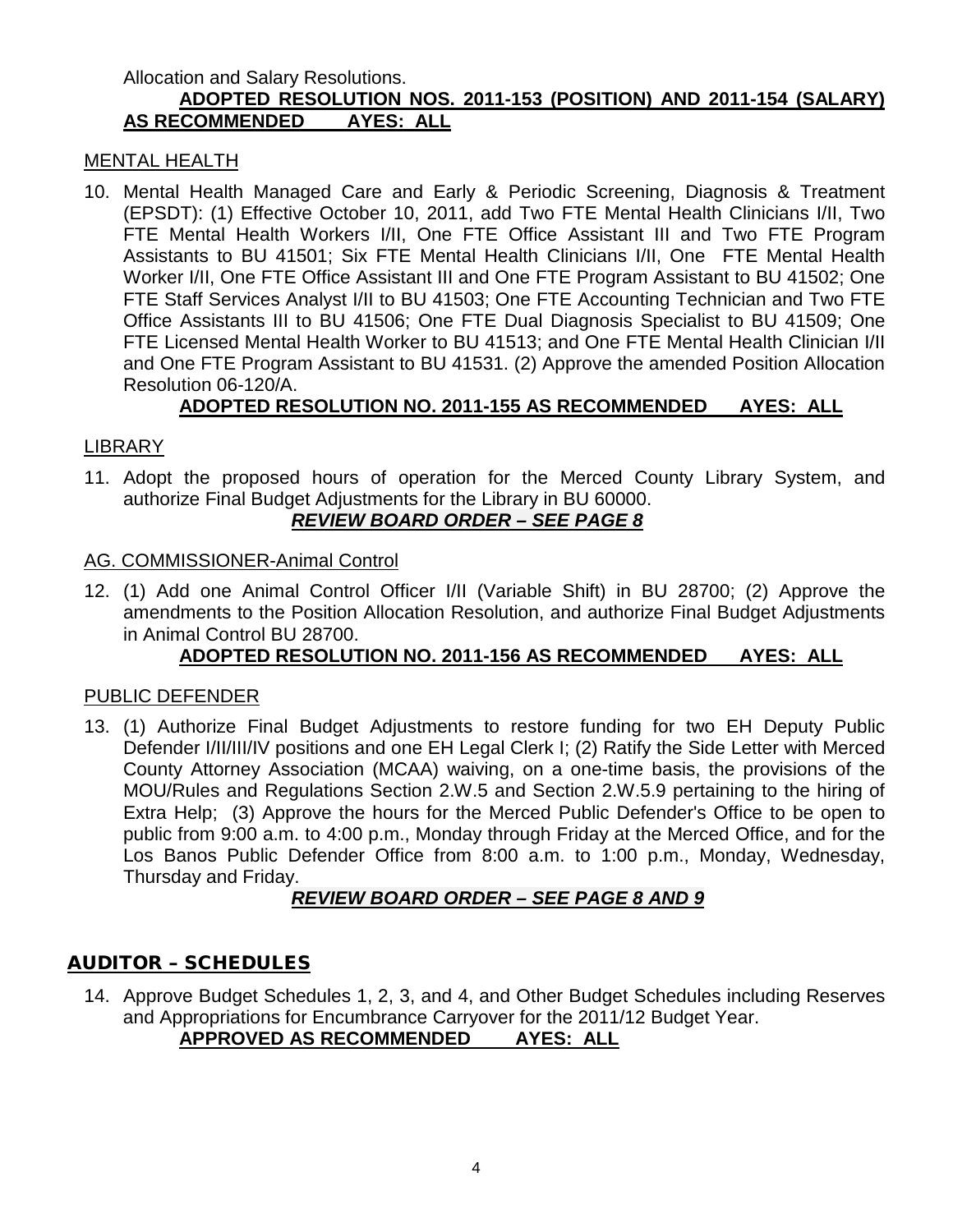#### Allocation and Salary Resolutions. **ADOPTED RESOLUTION NOS. 2011-153 (POSITION) AND 2011-154 (SALARY) AS RECOMMENDED AYES: ALL**

### MENTAL HEALTH

10. Mental Health Managed Care and Early & Periodic Screening, Diagnosis & Treatment (EPSDT): (1) Effective October 10, 2011, add Two FTE Mental Health Clinicians I/II, Two FTE Mental Health Workers I/II, One FTE Office Assistant III and Two FTE Program Assistants to BU 41501; Six FTE Mental Health Clinicians I/II, One FTE Mental Health Worker I/II, One FTE Office Assistant III and One FTE Program Assistant to BU 41502; One FTE Staff Services Analyst I/II to BU 41503; One FTE Accounting Technician and Two FTE Office Assistants III to BU 41506; One FTE Dual Diagnosis Specialist to BU 41509; One FTE Licensed Mental Health Worker to BU 41513; and One FTE Mental Health Clinician I/II and One FTE Program Assistant to BU 41531. (2) Approve the amended Position Allocation Resolution 06-120/A.

# **ADOPTED RESOLUTION NO. 2011-155 AS RECOMMENDED AYES: ALL**

## LIBRARY

11. Adopt the proposed hours of operation for the Merced County Library System, and authorize Final Budget Adjustments for the Library in BU 60000.

# *REVIEW BOARD ORDER – SEE PAGE 8*

#### AG. COMMISSIONER-Animal Control

12. (1) Add one Animal Control Officer I/II (Variable Shift) in BU 28700; (2) Approve the amendments to the Position Allocation Resolution, and authorize Final Budget Adjustments in Animal Control BU 28700.

# **ADOPTED RESOLUTION NO. 2011-156 AS RECOMMENDED AYES: ALL**

#### PUBLIC DEFENDER

13. (1) Authorize Final Budget Adjustments to restore funding for two EH Deputy Public Defender I/II/III/IV positions and one EH Legal Clerk I; (2) Ratify the Side Letter with Merced County Attorney Association (MCAA) waiving, on a one-time basis, the provisions of the MOU/Rules and Regulations Section 2.W.5 and Section 2.W.5.9 pertaining to the hiring of Extra Help; (3) Approve the hours for the Merced Public Defender's Office to be open to public from 9:00 a.m. to 4:00 p.m., Monday through Friday at the Merced Office, and for the Los Banos Public Defender Office from 8:00 a.m. to 1:00 p.m., Monday, Wednesday, Thursday and Friday.

#### *REVIEW BOARD ORDER – SEE PAGE 8 AND 9*

#### AUDITOR – SCHEDULES

14. Approve Budget Schedules 1, 2, 3, and 4, and Other Budget Schedules including Reserves and Appropriations for Encumbrance Carryover for the 2011/12 Budget Year. **APPROVED AS RECOMMENDED AYES: ALL**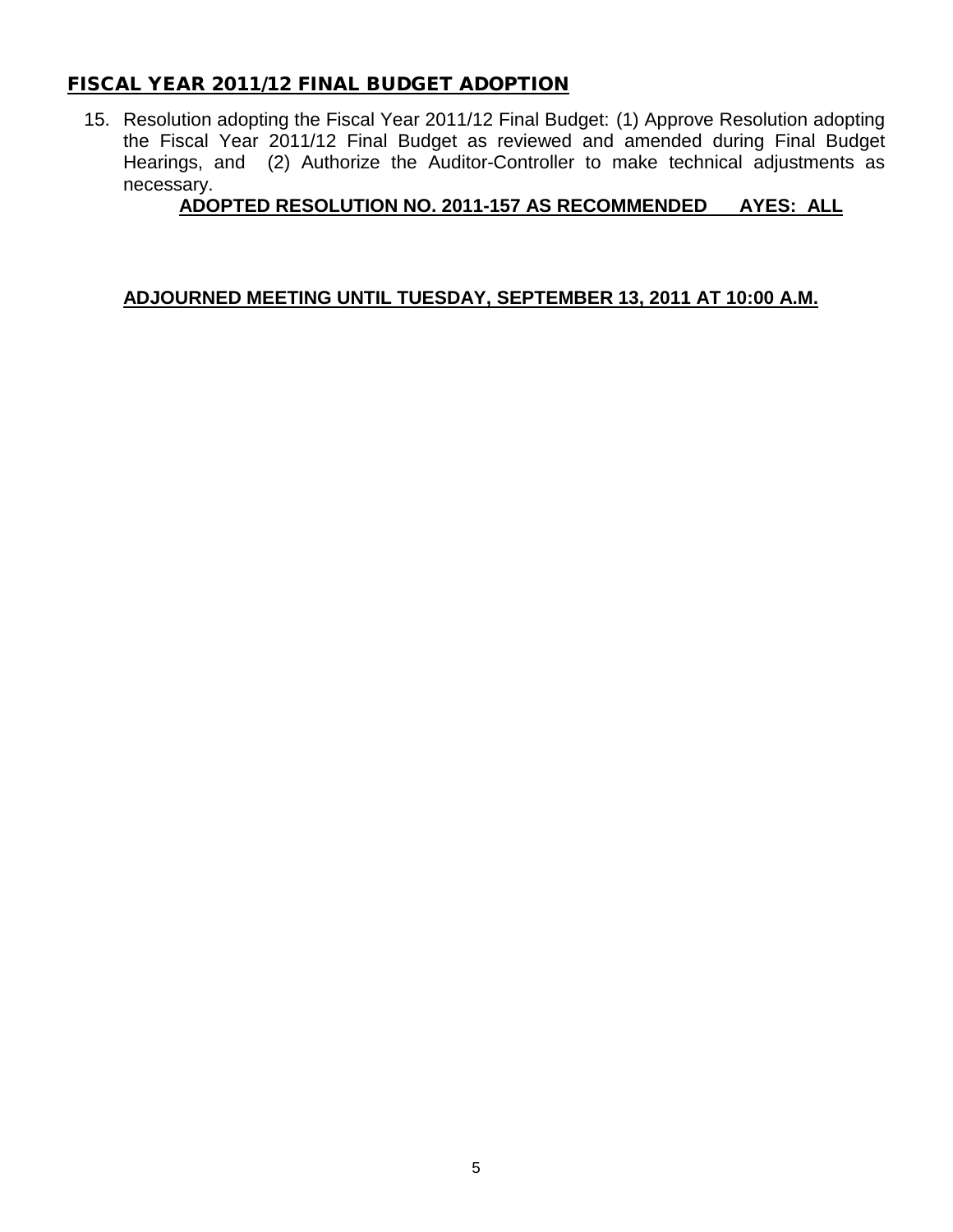# FISCAL YEAR 2011/12 FINAL BUDGET ADOPTION

15. Resolution adopting the Fiscal Year 2011/12 Final Budget: (1) Approve Resolution adopting the Fiscal Year 2011/12 Final Budget as reviewed and amended during Final Budget Hearings, and (2) Authorize the Auditor-Controller to make technical adjustments as necessary.

# **ADOPTED RESOLUTION NO. 2011-157 AS RECOMMENDED AYES: ALL**

# **ADJOURNED MEETING UNTIL TUESDAY, SEPTEMBER 13, 2011 AT 10:00 A.M.**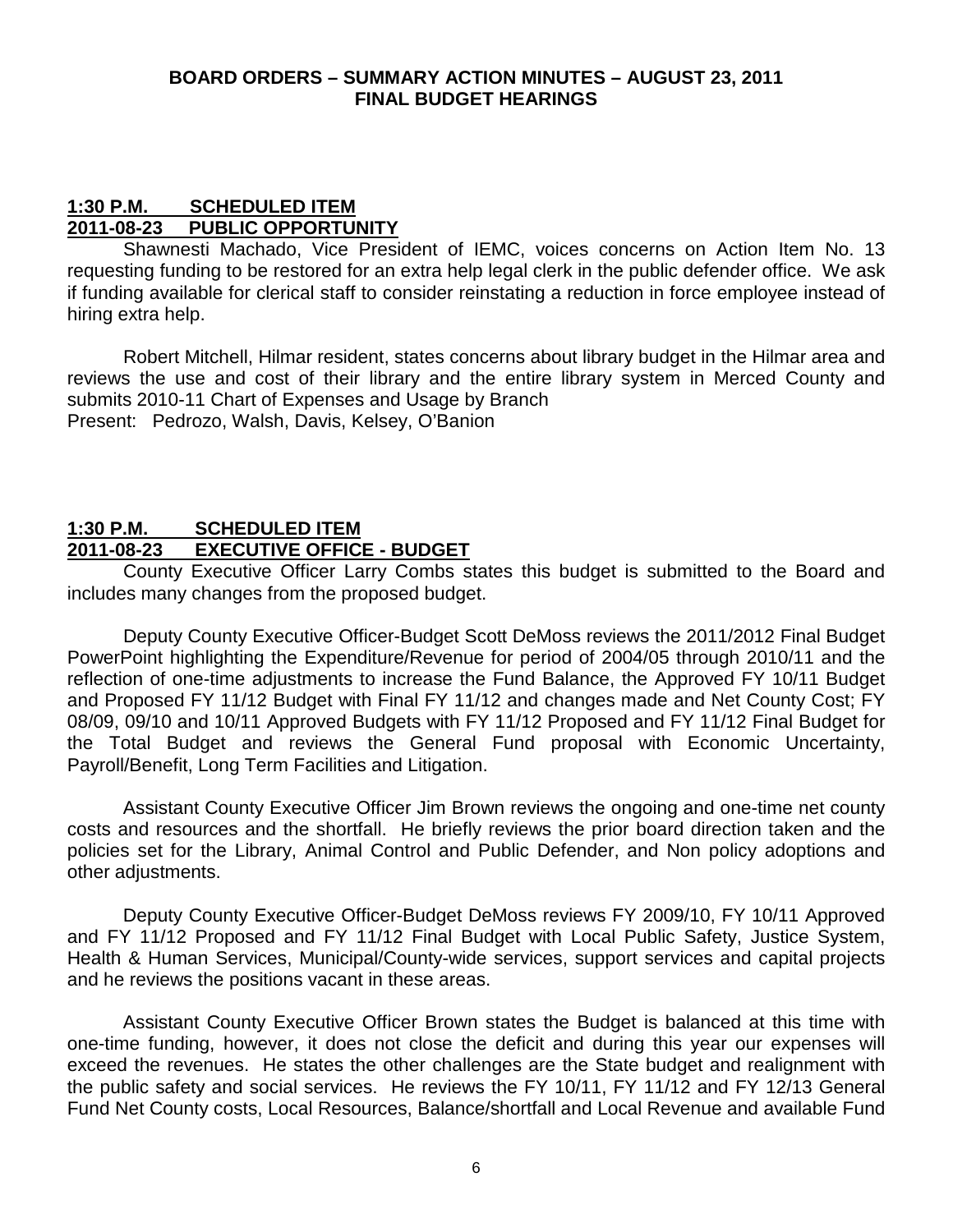#### **BOARD ORDERS – SUMMARY ACTION MINUTES – AUGUST 23, 2011 FINAL BUDGET HEARINGS**

#### **1:30 P.M. SCHEDULED ITEM 2011-08-23 PUBLIC OPPORTUNITY**

Shawnesti Machado, Vice President of IEMC, voices concerns on Action Item No. 13 requesting funding to be restored for an extra help legal clerk in the public defender office. We ask if funding available for clerical staff to consider reinstating a reduction in force employee instead of hiring extra help.

Robert Mitchell, Hilmar resident, states concerns about library budget in the Hilmar area and reviews the use and cost of their library and the entire library system in Merced County and submits 2010-11 Chart of Expenses and Usage by Branch Present: Pedrozo, Walsh, Davis, Kelsey, O'Banion

## **1:30 P.M. SCHEDULED ITEM 2011-08-23 EXECUTIVE OFFICE - BUDGET**

County Executive Officer Larry Combs states this budget is submitted to the Board and includes many changes from the proposed budget.

Deputy County Executive Officer-Budget Scott DeMoss reviews the 2011/2012 Final Budget PowerPoint highlighting the Expenditure/Revenue for period of 2004/05 through 2010/11 and the reflection of one-time adjustments to increase the Fund Balance, the Approved FY 10/11 Budget and Proposed FY 11/12 Budget with Final FY 11/12 and changes made and Net County Cost; FY 08/09, 09/10 and 10/11 Approved Budgets with FY 11/12 Proposed and FY 11/12 Final Budget for the Total Budget and reviews the General Fund proposal with Economic Uncertainty, Payroll/Benefit, Long Term Facilities and Litigation.

Assistant County Executive Officer Jim Brown reviews the ongoing and one-time net county costs and resources and the shortfall. He briefly reviews the prior board direction taken and the policies set for the Library, Animal Control and Public Defender, and Non policy adoptions and other adjustments.

Deputy County Executive Officer-Budget DeMoss reviews FY 2009/10, FY 10/11 Approved and FY 11/12 Proposed and FY 11/12 Final Budget with Local Public Safety, Justice System, Health & Human Services, Municipal/County-wide services, support services and capital projects and he reviews the positions vacant in these areas.

Assistant County Executive Officer Brown states the Budget is balanced at this time with one-time funding, however, it does not close the deficit and during this year our expenses will exceed the revenues. He states the other challenges are the State budget and realignment with the public safety and social services. He reviews the FY 10/11, FY 11/12 and FY 12/13 General Fund Net County costs, Local Resources, Balance/shortfall and Local Revenue and available Fund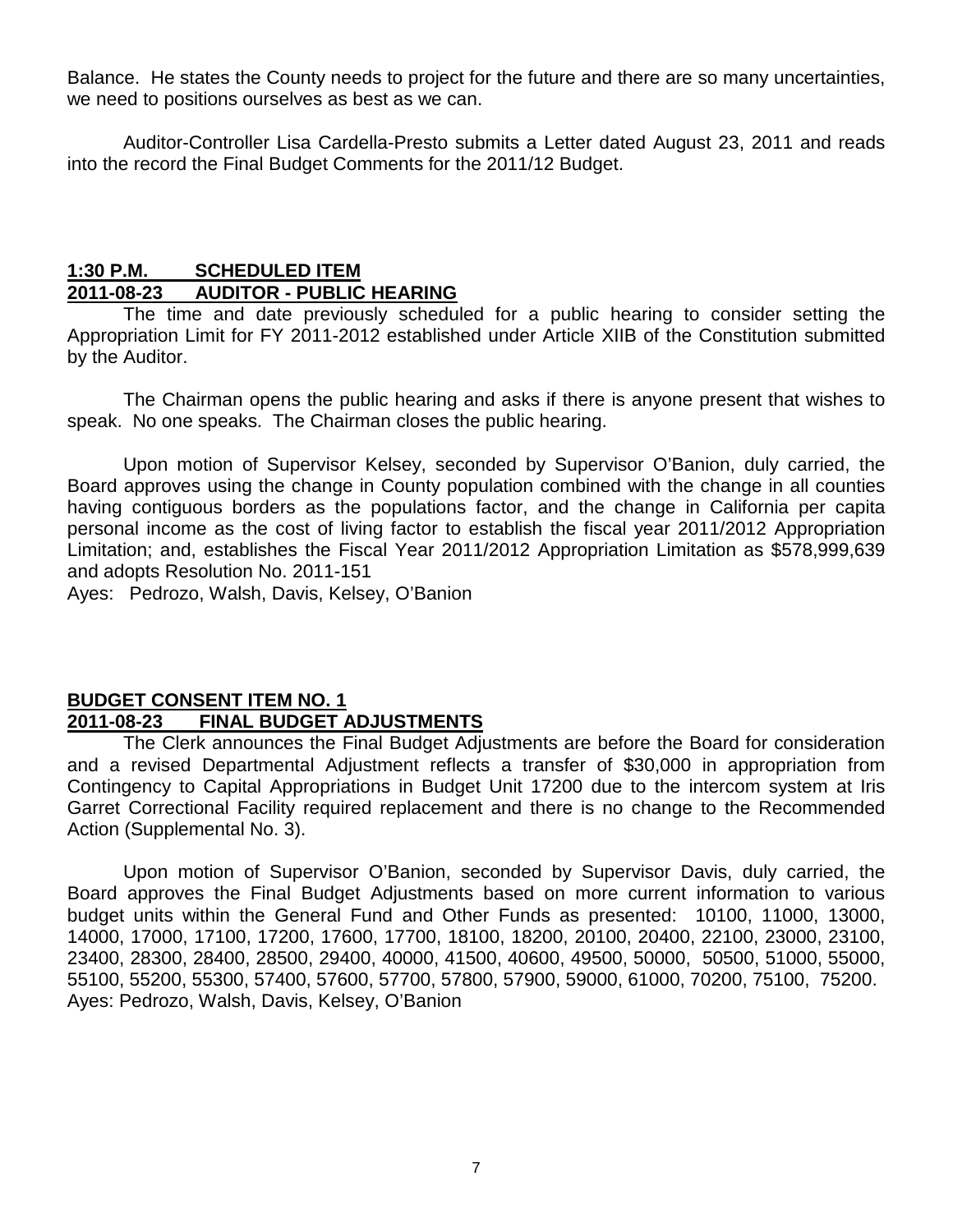Balance. He states the County needs to project for the future and there are so many uncertainties, we need to positions ourselves as best as we can.

Auditor-Controller Lisa Cardella-Presto submits a Letter dated August 23, 2011 and reads into the record the Final Budget Comments for the 2011/12 Budget.

#### **1:30 P.M. SCHEDULED ITEM 2011-08-23 AUDITOR - PUBLIC HEARING**

The time and date previously scheduled for a public hearing to consider setting the Appropriation Limit for FY 2011-2012 established under Article XIIB of the Constitution submitted by the Auditor.

The Chairman opens the public hearing and asks if there is anyone present that wishes to speak. No one speaks. The Chairman closes the public hearing.

Upon motion of Supervisor Kelsey, seconded by Supervisor O'Banion, duly carried, the Board approves using the change in County population combined with the change in all counties having contiguous borders as the populations factor, and the change in California per capita personal income as the cost of living factor to establish the fiscal year 2011/2012 Appropriation Limitation; and, establishes the Fiscal Year 2011/2012 Appropriation Limitation as \$578,999,639 and adopts Resolution No. 2011-151

Ayes: Pedrozo, Walsh, Davis, Kelsey, O'Banion

# **BUDGET CONSENT ITEM NO. 1 2011-08-23 FINAL BUDGET ADJUSTMENTS**

The Clerk announces the Final Budget Adjustments are before the Board for consideration and a revised Departmental Adjustment reflects a transfer of \$30,000 in appropriation from Contingency to Capital Appropriations in Budget Unit 17200 due to the intercom system at Iris Garret Correctional Facility required replacement and there is no change to the Recommended Action (Supplemental No. 3).

Upon motion of Supervisor O'Banion, seconded by Supervisor Davis, duly carried, the Board approves the Final Budget Adjustments based on more current information to various budget units within the General Fund and Other Funds as presented: 10100, 11000, 13000, 14000, 17000, 17100, 17200, 17600, 17700, 18100, 18200, 20100, 20400, 22100, 23000, 23100, 23400, 28300, 28400, 28500, 29400, 40000, 41500, 40600, 49500, 50000, 50500, 51000, 55000, 55100, 55200, 55300, 57400, 57600, 57700, 57800, 57900, 59000, 61000, 70200, 75100, 75200. Ayes: Pedrozo, Walsh, Davis, Kelsey, O'Banion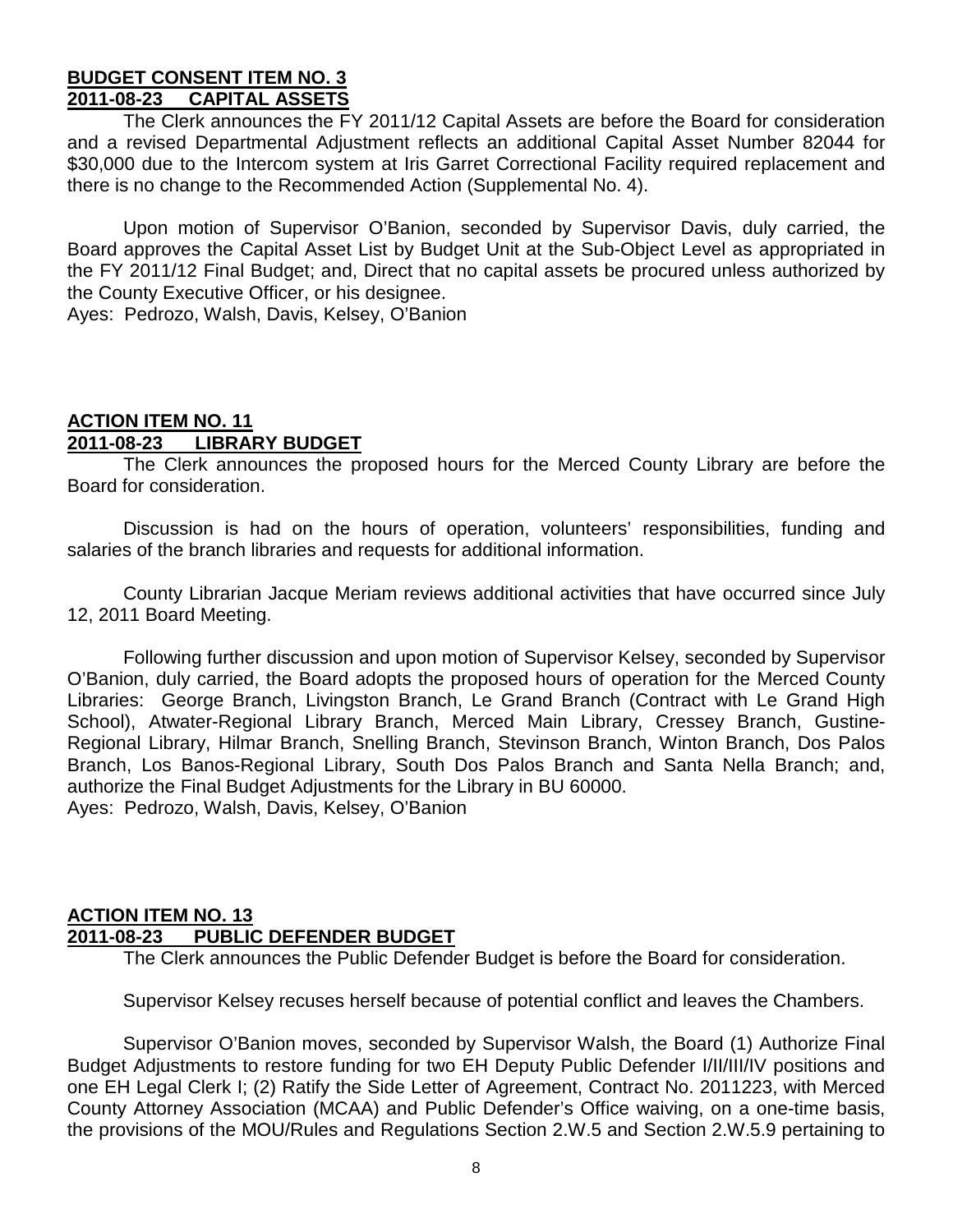#### **BUDGET CONSENT ITEM NO. 3 2011-08-23 CAPITAL ASSETS**

The Clerk announces the FY 2011/12 Capital Assets are before the Board for consideration and a revised Departmental Adjustment reflects an additional Capital Asset Number 82044 for \$30,000 due to the Intercom system at Iris Garret Correctional Facility required replacement and there is no change to the Recommended Action (Supplemental No. 4).

Upon motion of Supervisor O'Banion, seconded by Supervisor Davis, duly carried, the Board approves the Capital Asset List by Budget Unit at the Sub-Object Level as appropriated in the FY 2011/12 Final Budget; and, Direct that no capital assets be procured unless authorized by the County Executive Officer, or his designee.

Ayes: Pedrozo, Walsh, Davis, Kelsey, O'Banion

# **ACTION ITEM NO. 11 2011-08-23 LIBRARY BUDGET**

The Clerk announces the proposed hours for the Merced County Library are before the Board for consideration.

Discussion is had on the hours of operation, volunteers' responsibilities, funding and salaries of the branch libraries and requests for additional information.

County Librarian Jacque Meriam reviews additional activities that have occurred since July 12, 2011 Board Meeting.

Following further discussion and upon motion of Supervisor Kelsey, seconded by Supervisor O'Banion, duly carried, the Board adopts the proposed hours of operation for the Merced County Libraries: George Branch, Livingston Branch, Le Grand Branch (Contract with Le Grand High School), Atwater-Regional Library Branch, Merced Main Library, Cressey Branch, Gustine-Regional Library, Hilmar Branch, Snelling Branch, Stevinson Branch, Winton Branch, Dos Palos Branch, Los Banos-Regional Library, South Dos Palos Branch and Santa Nella Branch; and, authorize the Final Budget Adjustments for the Library in BU 60000. Ayes: Pedrozo, Walsh, Davis, Kelsey, O'Banion

#### **ACTION ITEM NO. 13 2011-08-23 PUBLIC DEFENDER BUDGET**

The Clerk announces the Public Defender Budget is before the Board for consideration.

Supervisor Kelsey recuses herself because of potential conflict and leaves the Chambers.

Supervisor O'Banion moves, seconded by Supervisor Walsh, the Board (1) Authorize Final Budget Adjustments to restore funding for two EH Deputy Public Defender I/II/III/IV positions and one EH Legal Clerk I; (2) Ratify the Side Letter of Agreement, Contract No. 2011223, with Merced County Attorney Association (MCAA) and Public Defender's Office waiving, on a one-time basis, the provisions of the MOU/Rules and Regulations Section 2.W.5 and Section 2.W.5.9 pertaining to